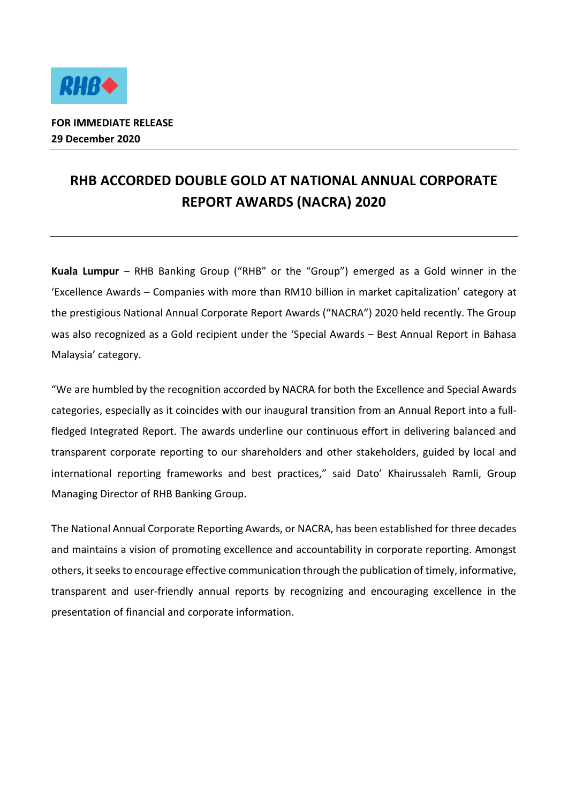

## **RHB ACCORDED DOUBLE GOLD AT NATIONAL ANNUAL CORPORATE REPORT AWARDS (NACRA) 2020**

**Kuala Lumpur** – RHB Banking Group ("RHB" or the "Group") emerged as a Gold winner in the 'Excellence Awards – Companies with more than RM10 billion in market capitalization' category at the prestigious National Annual Corporate Report Awards ("NACRA") 2020 held recently. The Group was also recognized as a Gold recipient under the 'Special Awards – Best Annual Report in Bahasa Malaysia' category.

"We are humbled by the recognition accorded by NACRA for both the Excellence and Special Awards categories, especially as it coincides with our inaugural transition from an Annual Report into a fullfledged Integrated Report. The awards underline our continuous effort in delivering balanced and transparent corporate reporting to our shareholders and other stakeholders, guided by local and international reporting frameworks and best practices," said Dato' Khairussaleh Ramli, Group Managing Director of RHB Banking Group.

The National Annual Corporate Reporting Awards, or NACRA, has been established for three decades and maintains a vision of promoting excellence and accountability in corporate reporting. Amongst others, it seeks to encourage effective communication through the publication of timely, informative, transparent and user-friendly annual reports by recognizing and encouraging excellence in the presentation of financial and corporate information.